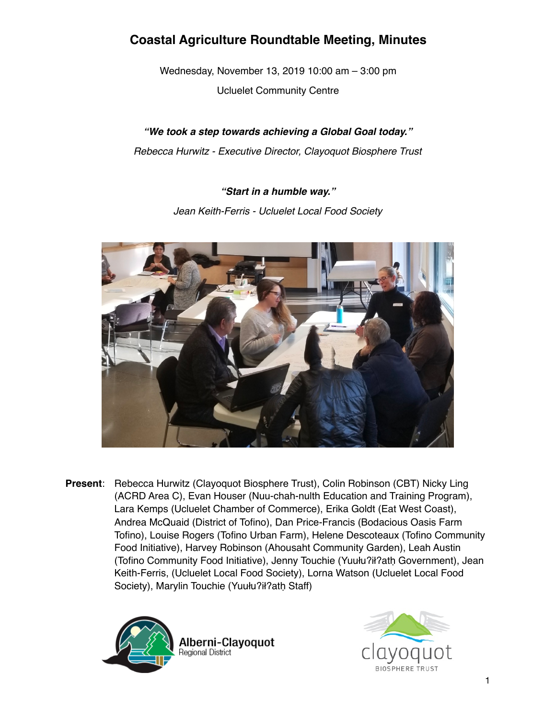Wednesday, November 13, 2019 10:00 am – 3:00 pm Ucluelet Community Centre

# *"We took a step towards achieving a Global Goal today." Rebecca Hurwitz - Executive Director, Clayoquot Biosphere Trust*

### *"Start in a humble way."*

*Jean Keith-Ferris - Ucluelet Local Food Society*



**Present**: Rebecca Hurwitz (Clayoquot Biosphere Trust), Colin Robinson (CBT) Nicky Ling (ACRD Area C), Evan Houser (Nuu-chah-nulth Education and Training Program), Lara Kemps (Ucluelet Chamber of Commerce), Erika Goldt (Eat West Coast), Andrea McQuaid (District of Tofino), Dan Price-Francis (Bodacious Oasis Farm Tofino), Louise Rogers (Tofino Urban Farm), Helene Descoteaux (Tofino Community Food Initiative), Harvey Robinson (Ahousaht Community Garden), Leah Austin (Tofino Community Food Initiative), Jenny Touchie (Yuułuʔiłʔatḥ Government), Jean Keith-Ferris, (Ucluelet Local Food Society), Lorna Watson (Ucluelet Local Food Society), Marylin Touchie (Yuułu?ił?atḥ Staff)



Alberni-Clayoquot Regional District

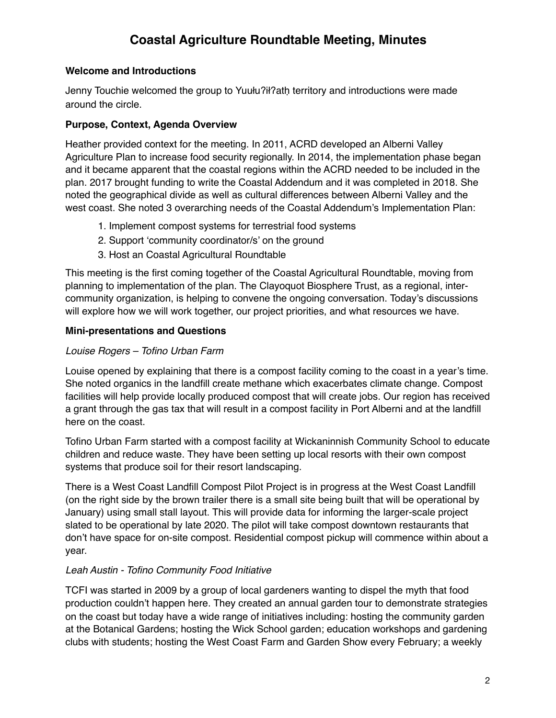#### **Welcome and Introductions**

Jenny Touchie welcomed the group to Yuułu?ił?atḥ territory and introductions were made around the circle.

#### **Purpose, Context, Agenda Overview**

Heather provided context for the meeting. In 2011, ACRD developed an Alberni Valley Agriculture Plan to increase food security regionally. In 2014, the implementation phase began and it became apparent that the coastal regions within the ACRD needed to be included in the plan. 2017 brought funding to write the Coastal Addendum and it was completed in 2018. She noted the geographical divide as well as cultural differences between Alberni Valley and the west coast. She noted 3 overarching needs of the Coastal Addendum's Implementation Plan:

- 1. Implement compost systems for terrestrial food systems
- 2. Support 'community coordinator/s' on the ground
- 3. Host an Coastal Agricultural Roundtable

This meeting is the first coming together of the Coastal Agricultural Roundtable, moving from planning to implementation of the plan. The Clayoquot Biosphere Trust, as a regional, intercommunity organization, is helping to convene the ongoing conversation. Today's discussions will explore how we will work together, our project priorities, and what resources we have.

### **Mini-presentations and Questions**

### *Louise Rogers – Tofino Urban Farm*

Louise opened by explaining that there is a compost facility coming to the coast in a year's time. She noted organics in the landfill create methane which exacerbates climate change. Compost facilities will help provide locally produced compost that will create jobs. Our region has received a grant through the gas tax that will result in a compost facility in Port Alberni and at the landfill here on the coast.

Tofino Urban Farm started with a compost facility at Wickaninnish Community School to educate children and reduce waste. They have been setting up local resorts with their own compost systems that produce soil for their resort landscaping.

There is a West Coast Landfill Compost Pilot Project is in progress at the West Coast Landfill (on the right side by the brown trailer there is a small site being built that will be operational by January) using small stall layout. This will provide data for informing the larger-scale project slated to be operational by late 2020. The pilot will take compost downtown restaurants that don't have space for on-site compost. Residential compost pickup will commence within about a year.

### *Leah Austin - Tofino Community Food Initiative*

TCFI was started in 2009 by a group of local gardeners wanting to dispel the myth that food production couldn't happen here. They created an annual garden tour to demonstrate strategies on the coast but today have a wide range of initiatives including: hosting the community garden at the Botanical Gardens; hosting the Wick School garden; education workshops and gardening clubs with students; hosting the West Coast Farm and Garden Show every February; a weekly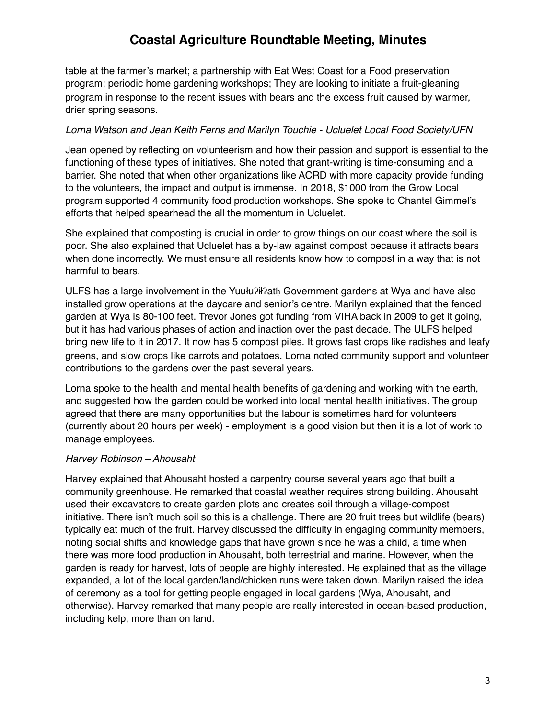table at the farmer's market; a partnership with Eat West Coast for a Food preservation program; periodic home gardening workshops; They are looking to initiate a fruit-gleaning program in response to the recent issues with bears and the excess fruit caused by warmer, drier spring seasons.

#### *Lorna Watson and Jean Keith Ferris and Marilyn Touchie - Ucluelet Local Food Society/UFN*

Jean opened by reflecting on volunteerism and how their passion and support is essential to the functioning of these types of initiatives. She noted that grant-writing is time-consuming and a barrier. She noted that when other organizations like ACRD with more capacity provide funding to the volunteers, the impact and output is immense. In 2018, \$1000 from the Grow Local program supported 4 community food production workshops. She spoke to Chantel Gimmel's efforts that helped spearhead the all the momentum in Ucluelet.

She explained that composting is crucial in order to grow things on our coast where the soil is poor. She also explained that Ucluelet has a by-law against compost because it attracts bears when done incorrectly. We must ensure all residents know how to compost in a way that is not harmful to bears.

ULFS has a large involvement in the Yuułu?ił?ath Government gardens at Wya and have also installed grow operations at the daycare and senior's centre. Marilyn explained that the fenced garden at Wya is 80-100 feet. Trevor Jones got funding from VIHA back in 2009 to get it going, but it has had various phases of action and inaction over the past decade. The ULFS helped bring new life to it in 2017. It now has 5 compost piles. It grows fast crops like radishes and leafy greens, and slow crops like carrots and potatoes. Lorna noted community support and volunteer contributions to the gardens over the past several years.

Lorna spoke to the health and mental health benefits of gardening and working with the earth, and suggested how the garden could be worked into local mental health initiatives. The group agreed that there are many opportunities but the labour is sometimes hard for volunteers (currently about 20 hours per week) - employment is a good vision but then it is a lot of work to manage employees.

#### *Harvey Robinson – Ahousaht*

Harvey explained that Ahousaht hosted a carpentry course several years ago that built a community greenhouse. He remarked that coastal weather requires strong building. Ahousaht used their excavators to create garden plots and creates soil through a village-compost initiative. There isn't much soil so this is a challenge. There are 20 fruit trees but wildlife (bears) typically eat much of the fruit. Harvey discussed the difficulty in engaging community members, noting social shifts and knowledge gaps that have grown since he was a child, a time when there was more food production in Ahousaht, both terrestrial and marine. However, when the garden is ready for harvest, lots of people are highly interested. He explained that as the village expanded, a lot of the local garden/land/chicken runs were taken down. Marilyn raised the idea of ceremony as a tool for getting people engaged in local gardens (Wya, Ahousaht, and otherwise). Harvey remarked that many people are really interested in ocean-based production, including kelp, more than on land.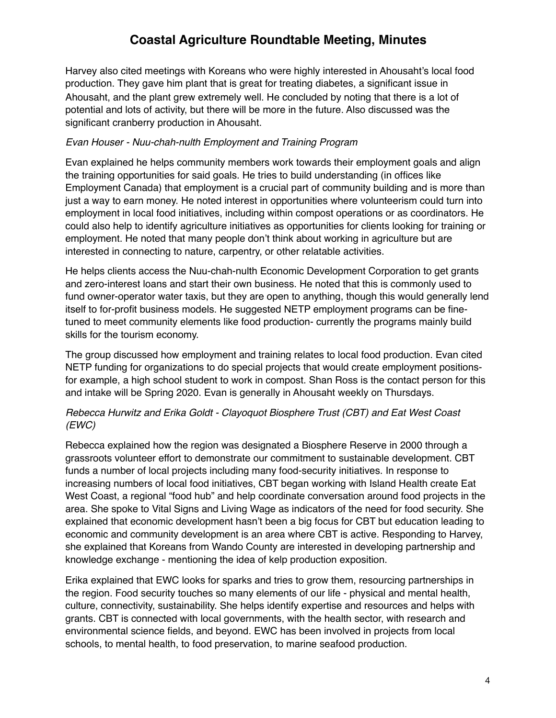Harvey also cited meetings with Koreans who were highly interested in Ahousaht's local food production. They gave him plant that is great for treating diabetes, a significant issue in Ahousaht, and the plant grew extremely well. He concluded by noting that there is a lot of potential and lots of activity, but there will be more in the future. Also discussed was the significant cranberry production in Ahousaht.

#### *Evan Houser - Nuu-chah-nulth Employment and Training Program*

Evan explained he helps community members work towards their employment goals and align the training opportunities for said goals. He tries to build understanding (in offices like Employment Canada) that employment is a crucial part of community building and is more than just a way to earn money. He noted interest in opportunities where volunteerism could turn into employment in local food initiatives, including within compost operations or as coordinators. He could also help to identify agriculture initiatives as opportunities for clients looking for training or employment. He noted that many people don't think about working in agriculture but are interested in connecting to nature, carpentry, or other relatable activities.

He helps clients access the Nuu-chah-nulth Economic Development Corporation to get grants and zero-interest loans and start their own business. He noted that this is commonly used to fund owner-operator water taxis, but they are open to anything, though this would generally lend itself to for-profit business models. He suggested NETP employment programs can be finetuned to meet community elements like food production- currently the programs mainly build skills for the tourism economy.

The group discussed how employment and training relates to local food production. Evan cited NETP funding for organizations to do special projects that would create employment positionsfor example, a high school student to work in compost. Shan Ross is the contact person for this and intake will be Spring 2020. Evan is generally in Ahousaht weekly on Thursdays.

#### *Rebecca Hurwitz and Erika Goldt - Clayoquot Biosphere Trust (CBT) and Eat West Coast (EWC)*

Rebecca explained how the region was designated a Biosphere Reserve in 2000 through a grassroots volunteer effort to demonstrate our commitment to sustainable development. CBT funds a number of local projects including many food-security initiatives. In response to increasing numbers of local food initiatives, CBT began working with Island Health create Eat West Coast, a regional "food hub" and help coordinate conversation around food projects in the area. She spoke to Vital Signs and Living Wage as indicators of the need for food security. She explained that economic development hasn't been a big focus for CBT but education leading to economic and community development is an area where CBT is active. Responding to Harvey, she explained that Koreans from Wando County are interested in developing partnership and knowledge exchange - mentioning the idea of kelp production exposition.

Erika explained that EWC looks for sparks and tries to grow them, resourcing partnerships in the region. Food security touches so many elements of our life - physical and mental health, culture, connectivity, sustainability. She helps identify expertise and resources and helps with grants. CBT is connected with local governments, with the health sector, with research and environmental science fields, and beyond. EWC has been involved in projects from local schools, to mental health, to food preservation, to marine seafood production.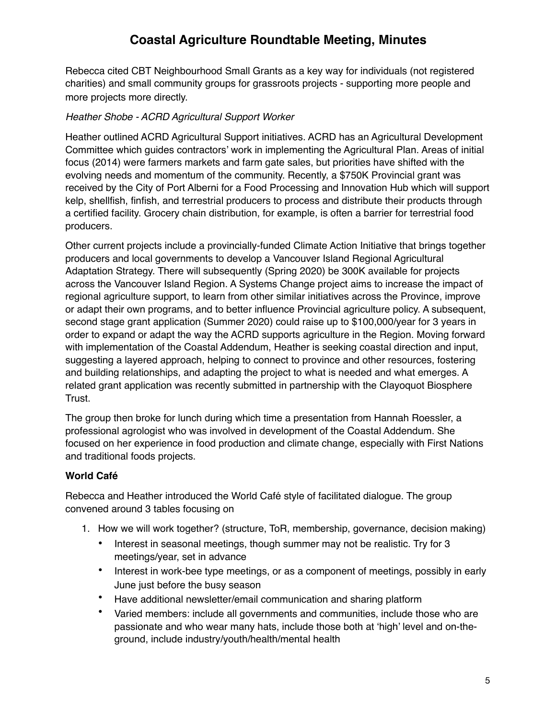Rebecca cited CBT Neighbourhood Small Grants as a key way for individuals (not registered charities) and small community groups for grassroots projects - supporting more people and more projects more directly.

#### *Heather Shobe - ACRD Agricultural Support Worker*

Heather outlined ACRD Agricultural Support initiatives. ACRD has an Agricultural Development Committee which guides contractors' work in implementing the Agricultural Plan. Areas of initial focus (2014) were farmers markets and farm gate sales, but priorities have shifted with the evolving needs and momentum of the community. Recently, a \$750K Provincial grant was received by the City of Port Alberni for a Food Processing and Innovation Hub which will support kelp, shellfish, finfish, and terrestrial producers to process and distribute their products through a certified facility. Grocery chain distribution, for example, is often a barrier for terrestrial food producers.

Other current projects include a provincially-funded Climate Action Initiative that brings together producers and local governments to develop a Vancouver Island Regional Agricultural Adaptation Strategy. There will subsequently (Spring 2020) be 300K available for projects across the Vancouver Island Region. A Systems Change project aims to increase the impact of regional agriculture support, to learn from other similar initiatives across the Province, improve or adapt their own programs, and to better influence Provincial agriculture policy. A subsequent, second stage grant application (Summer 2020) could raise up to \$100,000/year for 3 years in order to expand or adapt the way the ACRD supports agriculture in the Region. Moving forward with implementation of the Coastal Addendum, Heather is seeking coastal direction and input, suggesting a layered approach, helping to connect to province and other resources, fostering and building relationships, and adapting the project to what is needed and what emerges. A related grant application was recently submitted in partnership with the Clayoquot Biosphere Trust.

The group then broke for lunch during which time a presentation from Hannah Roessler, a professional agrologist who was involved in development of the Coastal Addendum. She focused on her experience in food production and climate change, especially with First Nations and traditional foods projects.

### **World Café**

Rebecca and Heather introduced the World Café style of facilitated dialogue. The group convened around 3 tables focusing on

- 1. How we will work together? (structure, ToR, membership, governance, decision making)
	- Interest in seasonal meetings, though summer may not be realistic. Try for 3 meetings/year, set in advance
	- Interest in work-bee type meetings, or as a component of meetings, possibly in early June just before the busy season
	- Have additional newsletter/email communication and sharing platform
	- Varied members: include all governments and communities, include those who are passionate and who wear many hats, include those both at 'high' level and on-theground, include industry/youth/health/mental health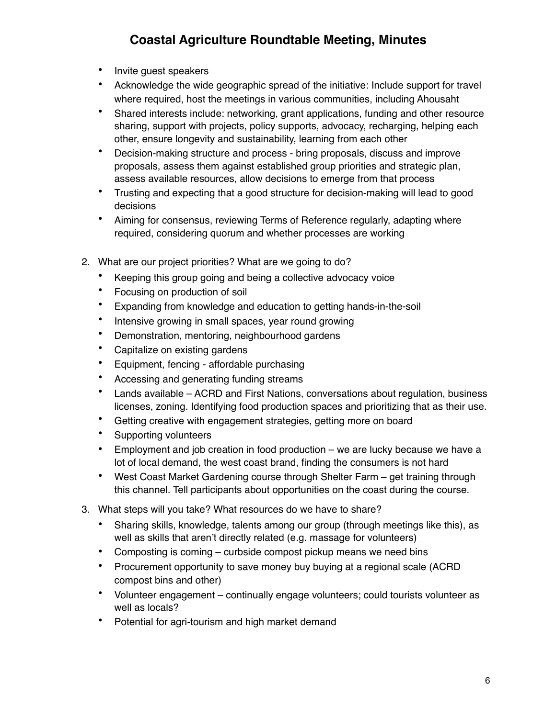- Invite guest speakers
- Acknowledge the wide geographic spread of the initiative: Include support for travel where required, host the meetings in various communities, including Ahousaht
- Shared interests include: networking, grant applications, funding and other resource sharing, support with projects, policy supports, advocacy, recharging, helping each other, ensure longevity and sustainability, learning from each other
- Decision-making structure and process bring proposals, discuss and improve proposals, assess them against established group priorities and strategic plan, assess available resources, allow decisions to emerge from that process
- Trusting and expecting that a good structure for decision-making will lead to good decisions
- Aiming for consensus, reviewing Terms of Reference regularly, adapting where required, considering quorum and whether processes are working
- 2. What are our project priorities? What are we going to do?
	- Keeping this group going and being a collective advocacy voice
	- Focusing on production of soil
	- Expanding from knowledge and education to getting hands-in-the-soil
	- Intensive growing in small spaces, year round growing
	- Demonstration, mentoring, neighbourhood gardens
	- Capitalize on existing gardens
	- Equipment, fencing affordable purchasing
	- Accessing and generating funding streams
	- Lands available ACRD and First Nations, conversations about regulation, business licenses, zoning. Identifying food production spaces and prioritizing that as their use.
	- Getting creative with engagement strategies, getting more on board
	- Supporting volunteers
	- Employment and job creation in food production we are lucky because we have a lot of local demand, the west coast brand, finding the consumers is not hard
	- West Coast Market Gardening course through Shelter Farm get training through this channel. Tell participants about opportunities on the coast during the course.
- 3. What steps will you take? What resources do we have to share?
	- Sharing skills, knowledge, talents among our group (through meetings like this), as well as skills that aren't directly related (e.g. massage for volunteers)
	- Composting is coming curbside compost pickup means we need bins
	- Procurement opportunity to save money buy buying at a regional scale (ACRD) compost bins and other)
	- Volunteer engagement continually engage volunteers; could tourists volunteer as well as locals?
	- Potential for agri-tourism and high market demand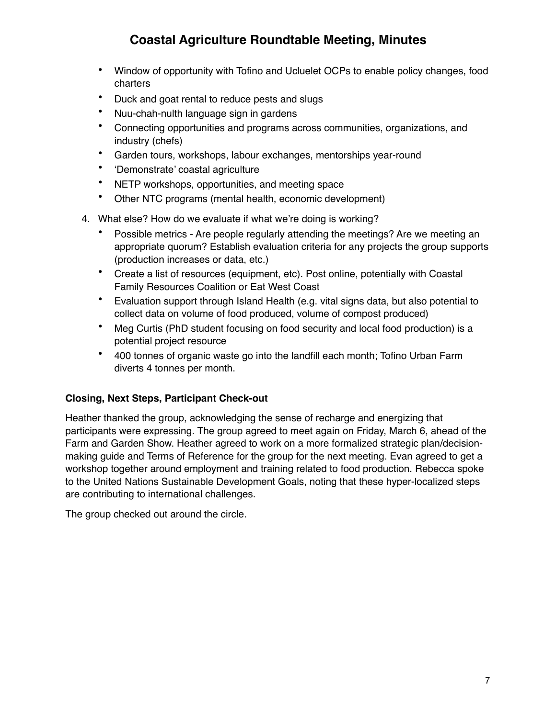- Window of opportunity with Tofino and Ucluelet OCPs to enable policy changes, food charters
- Duck and goat rental to reduce pests and slugs
- Nuu-chah-nulth language sign in gardens
- Connecting opportunities and programs across communities, organizations, and industry (chefs)
- Garden tours, workshops, labour exchanges, mentorships year-round
- 'Demonstrate' coastal agriculture
- NETP workshops, opportunities, and meeting space
- Other NTC programs (mental health, economic development)
- 4. What else? How do we evaluate if what we're doing is working?
	- Possible metrics Are people regularly attending the meetings? Are we meeting an appropriate quorum? Establish evaluation criteria for any projects the group supports (production increases or data, etc.)
	- Create a list of resources (equipment, etc). Post online, potentially with Coastal Family Resources Coalition or Eat West Coast
	- Evaluation support through Island Health (e.g. vital signs data, but also potential to collect data on volume of food produced, volume of compost produced)
	- Meg Curtis (PhD student focusing on food security and local food production) is a potential project resource
	- 400 tonnes of organic waste go into the landfill each month; Tofino Urban Farm diverts 4 tonnes per month.

#### **Closing, Next Steps, Participant Check-out**

Heather thanked the group, acknowledging the sense of recharge and energizing that participants were expressing. The group agreed to meet again on Friday, March 6, ahead of the Farm and Garden Show. Heather agreed to work on a more formalized strategic plan/decisionmaking guide and Terms of Reference for the group for the next meeting. Evan agreed to get a workshop together around employment and training related to food production. Rebecca spoke to the United Nations Sustainable Development Goals, noting that these hyper-localized steps are contributing to international challenges.

The group checked out around the circle.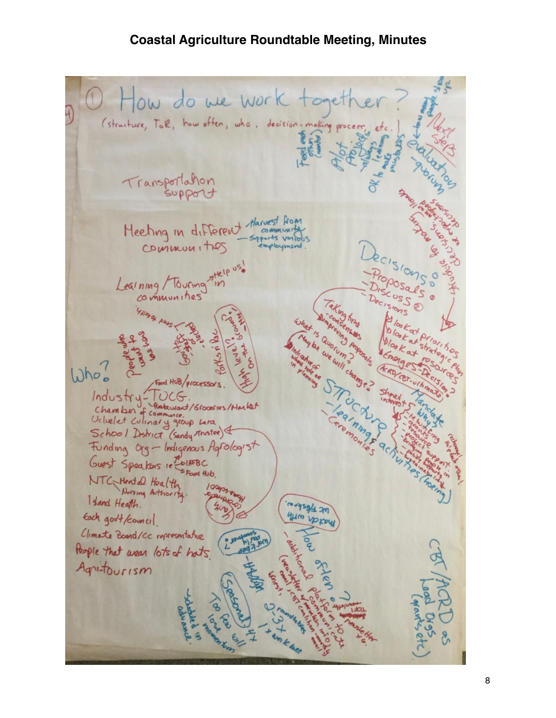AR 1 How do we work toget (structure, ToR, how often, who, decision-making proc Transportation Meeting in different thanks from pports vario communities Learning / Touring the pus! Y LONG PUBS The IS Superintendent of the Manus of The Manus of The Manus of The Manus of The Manus of The Manus of The Manus of The Manus of The Manus of The Manus of The Manus of The Manus of The Manus of The Manus of The Manus of Th LIS Quorum A FRD  $Wb\circ b$ Food HUB/processors Industry-TUCG.<br>Chamber of commune.<br>Ucluelet Colinary group Lara.<br>School District (sandy Trustee) Funding Og - Indigenous Agrologist Guest Speakers le ColAFBC NTC Hental Hoalth I sland Health. me Heerem Each gov't /council  $\mu$ <sub>m</sub> you Climate Board/CC representative Resple that was lots of hots. Agnitourism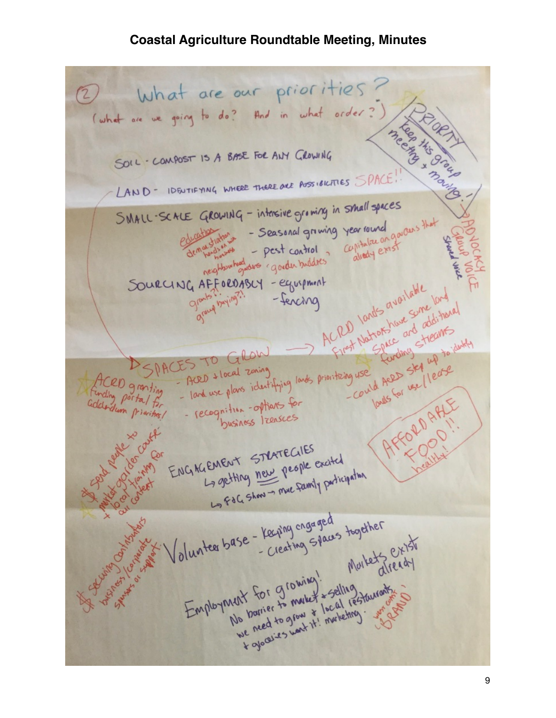What are our priorities? (what are we going to do? And in what order?) Meen the C SOIL · COMPOST IS A BASE FOR ANY GROWING LAND - IDENTIFYING WHERE THERE ONE POSSIBILITIES SPACE! Z. SMALL-SCALE GROWING - intensive growing in small spaces E GROWING - Intensive growing wear round<br>demonstrations - Seasonal growing year round<br>demonstrations - pest control alledy exist<br>C AFFORDABCY - equipment ACRD londs avoilable SOURCING AFFORDABLY - eguspment G AFFORDABLY - equipment ACRD lands available land<br>ACRD lands available land<br>First Nations and addition Ands avoid some long<br>stroks have some long and<br>fording streams of have and adding First Nations and Health PACES TO GROW loves step up it ES TO Creat zoning ES I slocal zoning<br>- ACRD slocal zoning<br>- land use plans identifying londs prioritizing use ACRD granting Arts Collate inding portal for - land use pro<br>- recognition - options for Pieritos/ business Izensces ide puff ENGINGEMENT STRATECIES La getting <u>new people</u> exated Çor La getting <u>new</u> people exercise that POINTLY RIV Volunteer base - Keeping crigaged Keeping cngaged<br>- Creating Spaces together Slunter base - Leating spaces toys! Mortet 2 exist Market for growing! Selling where direct<br>No barrier to market = Selling to the direct<br>No barrier to grow it! norteling. It's selling